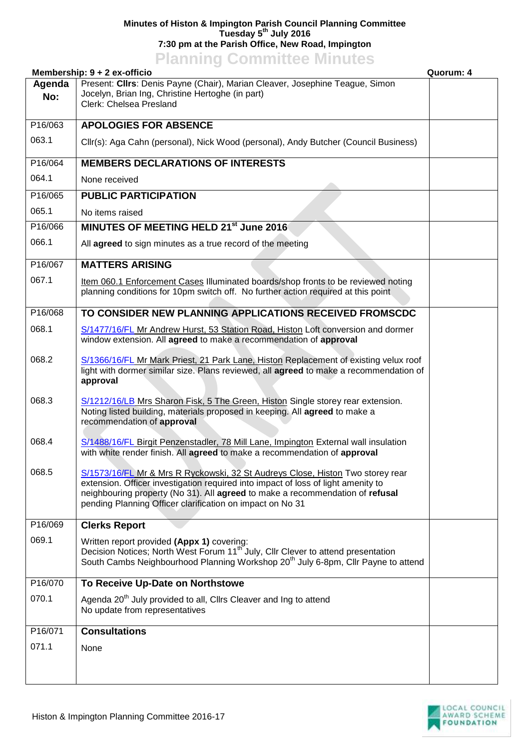## **Minutes of Histon & Impington Parish Council Planning Committee Tuesday 5 th July 2016 7:30 pm at the Parish Office, New Road, Impington**

## **Planning Committee Minutes**

| ----------<br>Membership: 9 + 2 ex-officio<br>Quorum: 4 |                                                                                                                                                                                                                                                                                                                   |  |
|---------------------------------------------------------|-------------------------------------------------------------------------------------------------------------------------------------------------------------------------------------------------------------------------------------------------------------------------------------------------------------------|--|
| Agenda<br>No:                                           | Present: Clirs: Denis Payne (Chair), Marian Cleaver, Josephine Teague, Simon<br>Jocelyn, Brian Ing, Christine Hertoghe (in part)<br>Clerk: Chelsea Presland                                                                                                                                                       |  |
| P16/063                                                 | <b>APOLOGIES FOR ABSENCE</b>                                                                                                                                                                                                                                                                                      |  |
| 063.1                                                   | Cllr(s): Aga Cahn (personal), Nick Wood (personal), Andy Butcher (Council Business)                                                                                                                                                                                                                               |  |
| P16/064                                                 | <b>MEMBERS DECLARATIONS OF INTERESTS</b>                                                                                                                                                                                                                                                                          |  |
| 064.1                                                   | None received                                                                                                                                                                                                                                                                                                     |  |
| P16/065                                                 | <b>PUBLIC PARTICIPATION</b>                                                                                                                                                                                                                                                                                       |  |
| 065.1                                                   | No items raised                                                                                                                                                                                                                                                                                                   |  |
| P16/066                                                 | MINUTES OF MEETING HELD 21st June 2016                                                                                                                                                                                                                                                                            |  |
| 066.1                                                   | All agreed to sign minutes as a true record of the meeting                                                                                                                                                                                                                                                        |  |
| P16/067                                                 | <b>MATTERS ARISING</b>                                                                                                                                                                                                                                                                                            |  |
| 067.1                                                   | Item 060.1 Enforcement Cases Illuminated boards/shop fronts to be reviewed noting<br>planning conditions for 10pm switch off. No further action required at this point                                                                                                                                            |  |
| P16/068                                                 | TO CONSIDER NEW PLANNING APPLICATIONS RECEIVED FROMSCDC                                                                                                                                                                                                                                                           |  |
| 068.1                                                   | S/1477/16/FL Mr Andrew Hurst, 53 Station Road, Histon Loft conversion and dormer<br>window extension. All agreed to make a recommendation of approval                                                                                                                                                             |  |
| 068.2                                                   | S/1366/16/FL Mr Mark Priest, 21 Park Lane, Histon Replacement of existing velux roof<br>light with dormer similar size. Plans reviewed, all agreed to make a recommendation of<br>approval                                                                                                                        |  |
| 068.3                                                   | S/1212/16/LB Mrs Sharon Fisk, 5 The Green, Histon Single storey rear extension.<br>Noting listed building, materials proposed in keeping. All agreed to make a<br>recommendation of approval                                                                                                                      |  |
| 068.4                                                   | S/1488/16/FL Birgit Penzenstadler, 78 Mill Lane, Impington External wall insulation<br>with white render finish. All agreed to make a recommendation of approval                                                                                                                                                  |  |
| 068.5                                                   | S/1573/16/FL Mr & Mrs R Ryckowski, 32 St Audreys Close, Histon Two storey rear<br>extension. Officer investigation required into impact of loss of light amenity to<br>neighbouring property (No 31). All agreed to make a recommendation of refusal<br>pending Planning Officer clarification on impact on No 31 |  |
| P16/069                                                 | <b>Clerks Report</b>                                                                                                                                                                                                                                                                                              |  |
| 069.1                                                   | Written report provided (Appx 1) covering:<br>Decision Notices; North West Forum 11 <sup>th</sup> July, Cllr Clever to attend presentation<br>South Cambs Neighbourhood Planning Workshop 20 <sup>th</sup> July 6-8pm, Cllr Payne to attend                                                                       |  |
| P16/070                                                 | To Receive Up-Date on Northstowe                                                                                                                                                                                                                                                                                  |  |
| 070.1                                                   | Agenda 20 <sup>th</sup> July provided to all, Cllrs Cleaver and Ing to attend<br>No update from representatives                                                                                                                                                                                                   |  |
| P16/071                                                 | <b>Consultations</b>                                                                                                                                                                                                                                                                                              |  |
| 071.1                                                   | None                                                                                                                                                                                                                                                                                                              |  |
|                                                         |                                                                                                                                                                                                                                                                                                                   |  |